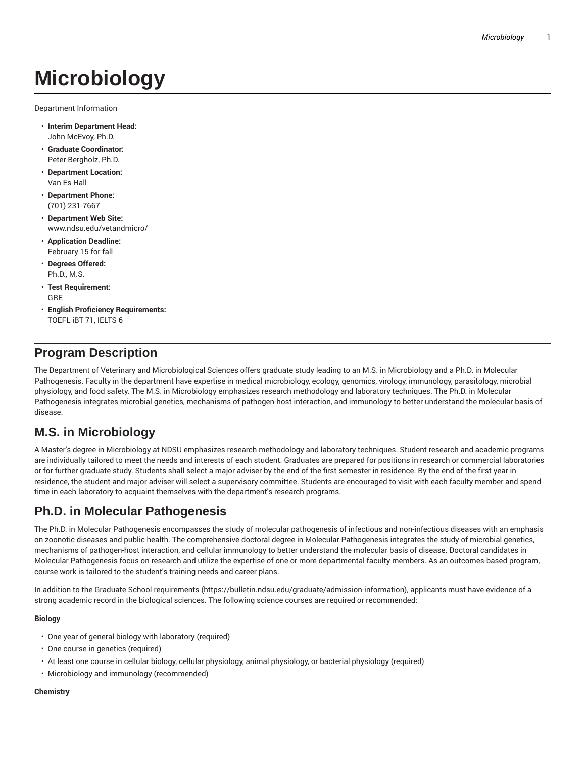# **Microbiology**

Department Information

- **Interim Department Head:** John McEvoy, Ph.D.
- **Graduate Coordinator:** Peter Bergholz, Ph.D.
- **Department Location:** Van Es Hall
- **Department Phone:** (701) 231-7667
- **Department Web Site:** www.ndsu.edu/vetandmicro/
- **Application Deadline:** February 15 for fall
- **Degrees Offered:** Ph.D., M.S.
- **Test Requirement:** GRE
- **English Proficiency Requirements:** TOEFL iBT 71, IELTS 6

## **Program Description**

The Department of Veterinary and Microbiological Sciences offers graduate study leading to an M.S. in Microbiology and a Ph.D. in Molecular Pathogenesis. Faculty in the department have expertise in medical microbiology, ecology, genomics, virology, immunology, parasitology, microbial physiology, and food safety. The M.S. in Microbiology emphasizes research methodology and laboratory techniques. The Ph.D. in Molecular Pathogenesis integrates microbial genetics, mechanisms of pathogen-host interaction, and immunology to better understand the molecular basis of disease.

# **M.S. in Microbiology**

A Master's degree in Microbiology at NDSU emphasizes research methodology and laboratory techniques. Student research and academic programs are individually tailored to meet the needs and interests of each student. Graduates are prepared for positions in research or commercial laboratories or for further graduate study. Students shall select a major adviser by the end of the first semester in residence. By the end of the first year in residence, the student and major adviser will select a supervisory committee. Students are encouraged to visit with each faculty member and spend time in each laboratory to acquaint themselves with the department's research programs.

# **Ph.D. in Molecular Pathogenesis**

The Ph.D. in Molecular Pathogenesis encompasses the study of molecular pathogenesis of infectious and non-infectious diseases with an emphasis on zoonotic diseases and public health. The comprehensive doctoral degree in Molecular Pathogenesis integrates the study of microbial genetics, mechanisms of pathogen-host interaction, and cellular immunology to better understand the molecular basis of disease. Doctoral candidates in Molecular Pathogenesis focus on research and utilize the expertise of one or more departmental faculty members. As an outcomes-based program, course work is tailored to the student's training needs and career plans.

In addition to the Graduate School requirements (https://bulletin.ndsu.edu/graduate/admission-information), applicants must have evidence of a strong academic record in the biological sciences. The following science courses are required or recommended:

#### **Biology**

- One year of general biology with laboratory (required)
- One course in genetics (required)
- At least one course in cellular biology, cellular physiology, animal physiology, or bacterial physiology (required)
- Microbiology and immunology (recommended)

#### **Chemistry**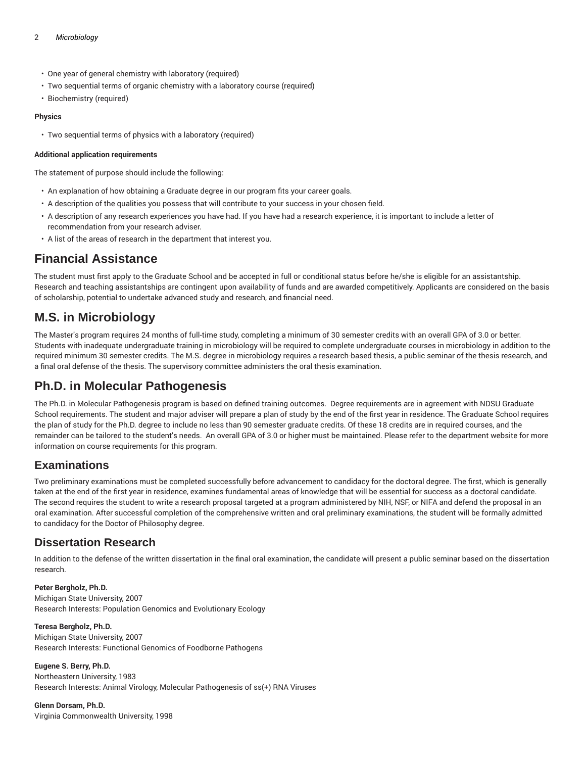#### 2 *Microbiology*

- One year of general chemistry with laboratory (required)
- Two sequential terms of organic chemistry with a laboratory course (required)
- Biochemistry (required)

#### **Physics**

• Two sequential terms of physics with a laboratory (required)

#### **Additional application requirements**

The statement of purpose should include the following:

- An explanation of how obtaining a Graduate degree in our program fits your career goals.
- A description of the qualities you possess that will contribute to your success in your chosen field.
- A description of any research experiences you have had. If you have had a research experience, it is important to include a letter of recommendation from your research adviser.
- A list of the areas of research in the department that interest you.

### **Financial Assistance**

The student must first apply to the Graduate School and be accepted in full or conditional status before he/she is eligible for an assistantship. Research and teaching assistantships are contingent upon availability of funds and are awarded competitively. Applicants are considered on the basis of scholarship, potential to undertake advanced study and research, and financial need.

### **M.S. in Microbiology**

The Master's program requires 24 months of full-time study, completing a minimum of 30 semester credits with an overall GPA of 3.0 or better. Students with inadequate undergraduate training in microbiology will be required to complete undergraduate courses in microbiology in addition to the required minimum 30 semester credits. The M.S. degree in microbiology requires a research-based thesis, a public seminar of the thesis research, and a final oral defense of the thesis. The supervisory committee administers the oral thesis examination.

# **Ph.D. in Molecular Pathogenesis**

The Ph.D. in Molecular Pathogenesis program is based on defined training outcomes. Degree requirements are in agreement with NDSU Graduate School requirements. The student and major adviser will prepare a plan of study by the end of the first year in residence. The Graduate School requires the plan of study for the Ph.D. degree to include no less than 90 semester graduate credits. Of these 18 credits are in required courses, and the remainder can be tailored to the student's needs. An overall GPA of 3.0 or higher must be maintained. Please refer to the department website for more information on course requirements for this program.

### **Examinations**

Two preliminary examinations must be completed successfully before advancement to candidacy for the doctoral degree. The first, which is generally taken at the end of the first year in residence, examines fundamental areas of knowledge that will be essential for success as a doctoral candidate. The second requires the student to write a research proposal targeted at a program administered by NIH, NSF, or NIFA and defend the proposal in an oral examination. After successful completion of the comprehensive written and oral preliminary examinations, the student will be formally admitted to candidacy for the Doctor of Philosophy degree.

### **Dissertation Research**

In addition to the defense of the written dissertation in the final oral examination, the candidate will present a public seminar based on the dissertation research.

**Peter Bergholz, Ph.D.** Michigan State University, 2007 Research Interests: Population Genomics and Evolutionary Ecology

**Teresa Bergholz, Ph.D.** Michigan State University, 2007 Research Interests: Functional Genomics of Foodborne Pathogens

**Eugene S. Berry, Ph.D.** Northeastern University, 1983 Research Interests: Animal Virology, Molecular Pathogenesis of ss(+) RNA Viruses

#### **Glenn Dorsam, Ph.D.**

Virginia Commonwealth University, 1998